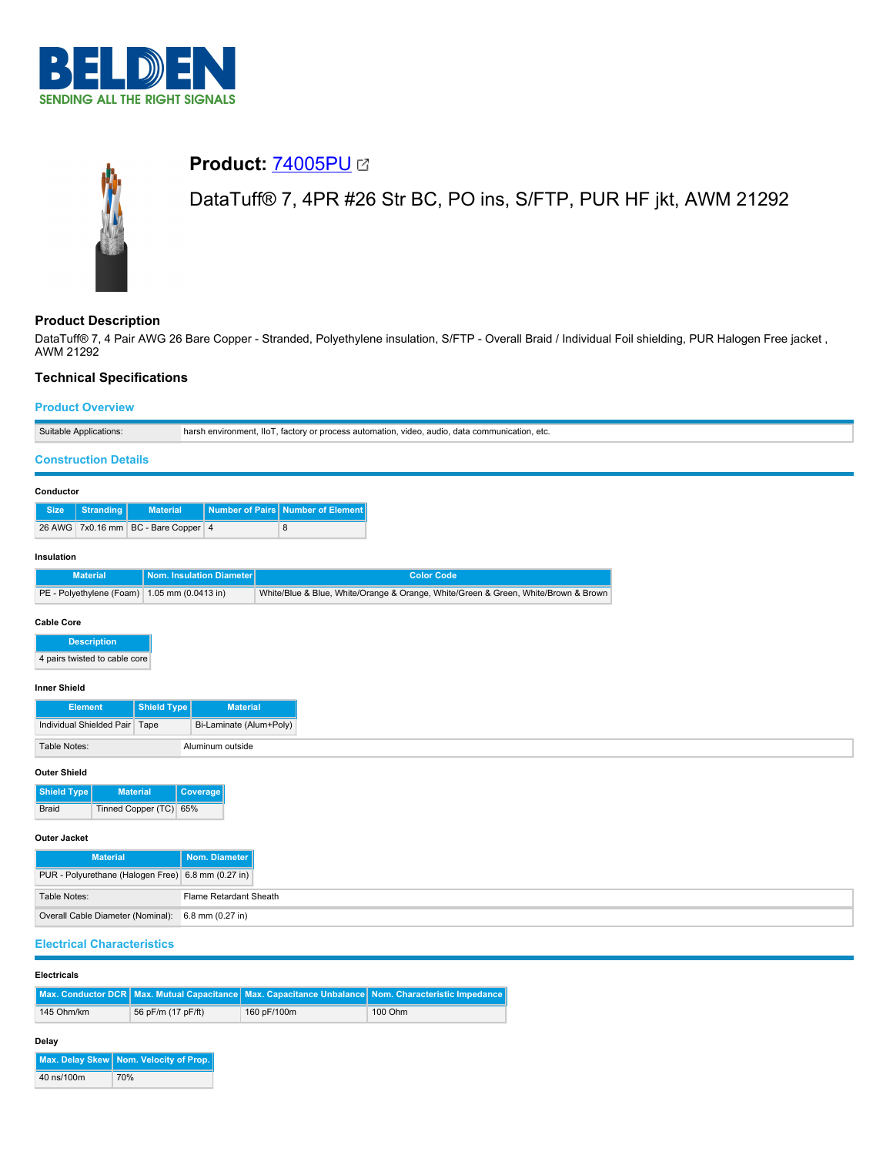

# **Product:** [74005PU](https://catalog.belden.com/index.cfm?event=pd&p=PF_74005PU&tab=downloads) DataTuff® 7, 4PR #26 Str BC, PO ins, S/FTP, PUR HF jkt, AWM 21292

# **Product Description**

DataTuff® 7, 4 Pair AWG 26 Bare Copper - Stranded, Polyethylene insulation, S/FTP - Overall Braid / Individual Foil shielding, PUR Halogen Free jacket, AWM 21292

# **Technical Specifications**

## **Product Overview**

| Suitable Applications:                                                |                                       |                                   | harsh environment, IIoT, factory or process automation, video, audio, data communication, etc. |  |  |  |
|-----------------------------------------------------------------------|---------------------------------------|-----------------------------------|------------------------------------------------------------------------------------------------|--|--|--|
| <b>Construction Details</b>                                           |                                       |                                   |                                                                                                |  |  |  |
| Conductor                                                             |                                       |                                   |                                                                                                |  |  |  |
| <b>Stranding</b><br><b>Size</b>                                       | <b>Material</b>                       | Number of Pairs Number of Element |                                                                                                |  |  |  |
| 26 AWG 7x0.16 mm BC - Bare Copper 4                                   |                                       | 8                                 |                                                                                                |  |  |  |
| Insulation                                                            |                                       |                                   |                                                                                                |  |  |  |
| <b>Material</b>                                                       | Nom. Insulation Diameter              |                                   | <b>Color Code</b>                                                                              |  |  |  |
| PE - Polyethylene (Foam) 1.05 mm (0.0413 in)                          |                                       |                                   | White/Blue & Blue, White/Orange & Orange, White/Green & Green, White/Brown & Brown             |  |  |  |
| <b>Cable Core</b>                                                     |                                       |                                   |                                                                                                |  |  |  |
| <b>Description</b>                                                    |                                       |                                   |                                                                                                |  |  |  |
| 4 pairs twisted to cable core                                         |                                       |                                   |                                                                                                |  |  |  |
| <b>Inner Shield</b>                                                   |                                       |                                   |                                                                                                |  |  |  |
| <b>Element</b>                                                        | <b>Shield Type</b><br><b>Material</b> |                                   |                                                                                                |  |  |  |
| Individual Shielded Pair   Tape                                       | Bi-Laminate (Alum+Poly)               |                                   |                                                                                                |  |  |  |
| Table Notes:                                                          | Aluminum outside                      |                                   |                                                                                                |  |  |  |
| <b>Outer Shield</b>                                                   |                                       |                                   |                                                                                                |  |  |  |
| <b>Material</b><br><b>Shield Type</b>                                 | Coverage                              |                                   |                                                                                                |  |  |  |
| Tinned Copper (TC) 65%<br>Braid                                       |                                       |                                   |                                                                                                |  |  |  |
| <b>Outer Jacket</b>                                                   |                                       |                                   |                                                                                                |  |  |  |
| <b>Material</b><br>Nom. Diameter                                      |                                       |                                   |                                                                                                |  |  |  |
| PUR - Polyurethane (Halogen Free) 6.8 mm (0.27 in)                    |                                       |                                   |                                                                                                |  |  |  |
| Table Notes:                                                          | Flame Retardant Sheath                |                                   |                                                                                                |  |  |  |
| Overall Cable Diameter (Nominal):<br>6.8 mm (0.27 in)                 |                                       |                                   |                                                                                                |  |  |  |
| <b>Electrical Characteristics</b>                                     |                                       |                                   |                                                                                                |  |  |  |
| <b>Electricals</b>                                                    |                                       |                                   |                                                                                                |  |  |  |
| Max. Conductor DCR Max. Mutual Capacitance Max. Capacitance Unbalance |                                       |                                   | Nom. Characteristic Impedance                                                                  |  |  |  |
| 145 Ohm/km                                                            | 56 pF/m (17 pF/ft)                    | 160 pF/100m                       | 100 Ohm                                                                                        |  |  |  |

## **Delay**

|            | Max. Delay Skew Nom. Velocity of Prop. |  |  |
|------------|----------------------------------------|--|--|
| 40 ns/100m | 70%                                    |  |  |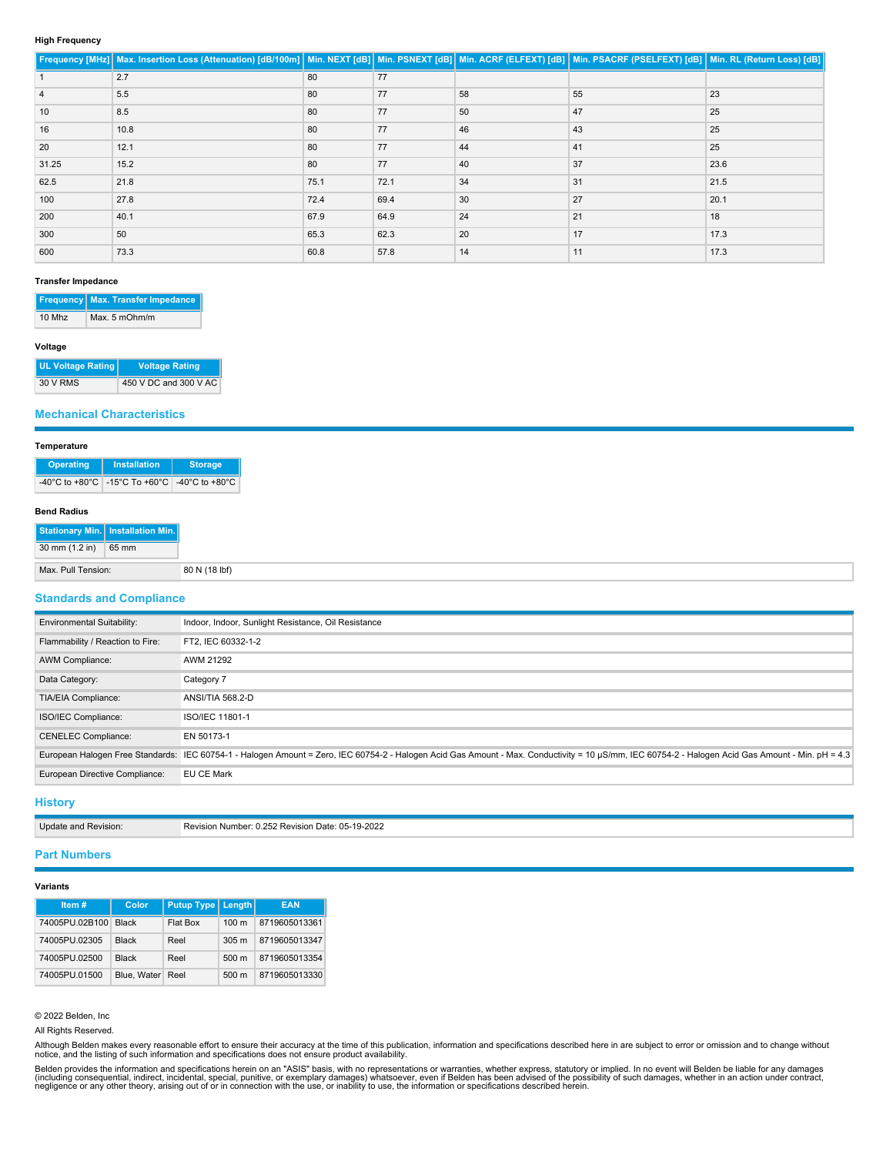#### **High Frequency**

|       | Frequency [MHz] Max. Insertion Loss (Attenuation) [dB/100m] Min. NEXT [dB] Min. PSNEXT [dB] Min. ACRF (ELFEXT) [dB] Min. PSACRF (PSELFEXT) [dB] Min. RL (Return Loss) [dB] |      |      |    |    |      |
|-------|----------------------------------------------------------------------------------------------------------------------------------------------------------------------------|------|------|----|----|------|
|       | 2.7                                                                                                                                                                        | 80   | 77   |    |    |      |
|       | 5.5                                                                                                                                                                        | 80   | 77   | 58 | 55 | 23   |
| 10    | 8.5                                                                                                                                                                        | 80   | 77   | 50 | 47 | 25   |
| 16    | 10.8                                                                                                                                                                       | 80   | 77   | 46 | 43 | 25   |
| 20    | 12.1                                                                                                                                                                       | 80   | 77   | 44 | 41 | 25   |
| 31.25 | 15.2                                                                                                                                                                       | 80   | 77   | 40 | 37 | 23.6 |
| 62.5  | 21.8                                                                                                                                                                       | 75.1 | 72.1 | 34 | 31 | 21.5 |
| 100   | 27.8                                                                                                                                                                       | 72.4 | 69.4 | 30 | 27 | 20.1 |
| 200   | 40.1                                                                                                                                                                       | 67.9 | 64.9 | 24 | 21 | 18   |
| 300   | 50                                                                                                                                                                         | 65.3 | 62.3 | 20 | 17 | 17.3 |
| 600   | 73.3                                                                                                                                                                       | 60.8 | 57.8 | 14 | 11 | 17.3 |

#### **Transfer Impedance**

|          | <b>Frequency Max. Transfer Impedance</b> |  |  |
|----------|------------------------------------------|--|--|
| $10$ Mhz | Max. 5 mOhm/m                            |  |  |

## **Voltage**

| <b>UL Voltage Rating  </b> | Voltage Rating        |  |  |
|----------------------------|-----------------------|--|--|
| 30 V RMS                   | 450 V DC and 300 V AC |  |  |

#### **Mechanical Characteristics**

#### **Temperature**

| <b>Operating</b> | <b>Installation</b>                          | <b>Storage</b> |  |
|------------------|----------------------------------------------|----------------|--|
|                  | -40°C to +80°C -15°C To +60°C -40°C to +80°C |                |  |

#### **Bend Radius**

|                    | Stationary Min.   Installation Min. |
|--------------------|-------------------------------------|
| 30 mm (1.2 in)     | 65 mm                               |
| Max. Pull Tension: |                                     |

## **Standards and Compliance**

| <b>Environmental Suitability:</b> | Indoor, Indoor, Sunlight Resistance, Oil Resistance                                                                                                                                               |
|-----------------------------------|---------------------------------------------------------------------------------------------------------------------------------------------------------------------------------------------------|
| Flammability / Reaction to Fire:  | FT2, IEC 60332-1-2                                                                                                                                                                                |
| AWM Compliance:                   | AWM 21292                                                                                                                                                                                         |
| Data Category:                    | Category 7                                                                                                                                                                                        |
| TIA/EIA Compliance:               | <b>ANSI/TIA 568.2-D</b>                                                                                                                                                                           |
| ISO/IEC Compliance:               | ISO/IEC 11801-1                                                                                                                                                                                   |
| <b>CENELEC Compliance:</b>        | EN 50173-1                                                                                                                                                                                        |
|                                   | European Halogen Free Standards: IEC 60754-1 - Halogen Amount = Zero, IEC 60754-2 - Halogen Acid Gas Amount - Max. Conductivity = 10 µS/mm, IEC 60754-2 - Halogen Acid Gas Amount - Min. pH = 4.3 |
| European Directive Compliance:    | EU CE Mark                                                                                                                                                                                        |
|                                   |                                                                                                                                                                                                   |

# **History**

| Update and Revision: | Revision Number: 0.252 Revision Date: 05-19-2022 |
|----------------------|--------------------------------------------------|

#### **Part Numbers**

#### **Variants**

| Item#          | Color        | <b>Putup Type   Length</b> |                  | <b>EAN</b>    |
|----------------|--------------|----------------------------|------------------|---------------|
| 74005PU.02B100 | <b>Black</b> | Flat Box                   | 100 <sub>m</sub> | 8719605013361 |
| 74005PU.02305  | <b>Black</b> | Reel                       | 305 <sub>m</sub> | 8719605013347 |
| 74005PU.02500  | <b>Black</b> | Reel                       | $500 \text{ m}$  | 8719605013354 |
| 74005PU.01500  | Blue, Water  | Reel                       | $500 \text{ m}$  | 8719605013330 |

© 2022 Belden, Inc

All Rights Reserved.

Although Belden makes every reasonable effort to ensure their accuracy at the time of this publication, information and specifications described here in are subject to error or omission and to change without<br>notice, and th

Belden provides the information and specifications herein on an "ASIS" basis, with no representations or warranties, whether express, statutory or implied. In no event will Belden be liable for any damages<br>(including conse